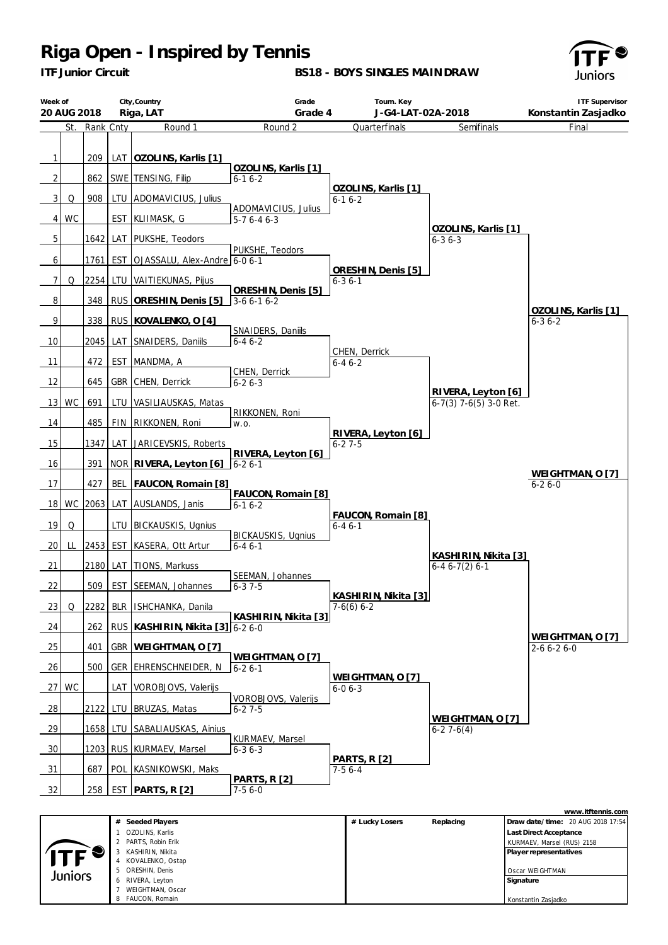*ITF Junior Circuit*

**BS18 - BOYS SINGLES MAINDRAW**



| Week of<br>20 AUG 2018 |           |            | City, Country<br>Riga, LAT                  | Grade<br>Grade 4                    | Tourn. Key<br>J-G4-LAT-02A-2018    |                                                | <b>ITF Supervisor</b><br>Konstantin Zasjadko |
|------------------------|-----------|------------|---------------------------------------------|-------------------------------------|------------------------------------|------------------------------------------------|----------------------------------------------|
| St.                    | Rank Cnty |            | Round 1                                     | Round 2                             | Quarterfinals                      | Semifinals                                     | Final                                        |
| $\mathbf{1}$           | 209       |            | LAT   OZOLINS, Karlis [1]                   | OZOLINS, Karlis [1]                 |                                    |                                                |                                              |
| 2                      | 862       |            | SWE   TENSING, Filip                        | $6 - 16 - 2$                        | OZOLINS, Karlis [1]                |                                                |                                              |
| 3<br>Q                 | 908       |            | LTU ADOMAVICIUS, Julius                     |                                     | $6 - 16 - 2$                       |                                                |                                              |
| <b>WC</b><br>4         |           | <b>EST</b> | KLIIMASK, G                                 | ADOMAVICIUS, Julius<br>$5-76-46-3$  |                                    |                                                |                                              |
| 5                      | 1642 LAT  |            | PUKSHE, Teodors                             |                                     |                                    | OZOLINS, Karlis [1]<br>$6 - 36 - 3$            |                                              |
| 6                      |           |            | 1761   EST   OJASSALU, Alex-Andre   6-0 6-1 | PUKSHE, Teodors                     | ORESHIN, Denis [5]                 |                                                |                                              |
| 7<br>Q                 |           |            | 2254 LTU VAITIEKUNAS, Pijus                 |                                     | $6 - 36 - 1$                       |                                                |                                              |
| 8                      |           |            | 348 RUS ORESHIN, Denis [5]                  | ORESHIN, Denis [5]<br>$3-66-16-2$   |                                    |                                                |                                              |
| 9                      | 338 I     |            | RUS KOVALENKO, O [4]                        |                                     |                                    |                                                | OZOLINS, Karlis [1]<br>$6 - 36 - 2$          |
| 10                     |           |            | 2045   LAT SNAIDERS, Daniils                | SNAIDERS, Daniils<br>$6 - 46 - 2$   |                                    |                                                |                                              |
| 11                     | 472       | <b>EST</b> | MANDMA, A                                   |                                     | CHEN, Derrick<br>$6 - 46 - 2$      |                                                |                                              |
| 12                     | 645       |            | GBR CHEN, Derrick                           | CHEN, Derrick<br>$6 - 26 - 3$       |                                    |                                                |                                              |
| WC<br>13               | 691       |            | LTU VASILIAUSKAS, Matas                     |                                     |                                    | RIVERA, Leyton [6]<br>$6-7(3)$ 7-6(5) 3-0 Ret. |                                              |
| 14                     | 485       |            | FIN RIKKONEN, Roni                          | RIKKONEN, Roni<br>W.O.              |                                    |                                                |                                              |
| 15                     |           |            | 1347 LAT JARICEVSKIS, Roberts               |                                     | RIVERA, Leyton [6]<br>$6 - 27 - 5$ |                                                |                                              |
| 16                     | 391       |            | NOR RIVERA, Leyton [6]                      | RIVERA, Leyton [6]<br>$6 - 26 - 1$  |                                    |                                                |                                              |
| 17                     | 427       | <b>BEL</b> | FAUCON, Romain [8]                          |                                     |                                    |                                                | WEIGHTMAN, O [7]<br>$6 - 26 - 0$             |
| 18<br>WC               |           |            | 2063 LAT AUSLANDS, Janis                    | FAUCON, Romain [8]<br>$6 - 16 - 2$  |                                    |                                                |                                              |
| 19<br>Q                |           | LTU        | <b>BICKAUSKIS, Ugnius</b>                   |                                     | FAUCON, Romain [8]                 |                                                |                                              |
|                        |           |            |                                             | <b>BICKAUSKIS, Ugnius</b>           | $6 - 46 - 1$                       |                                                |                                              |
| 20<br>LL               | 2453 EST  |            | KASERA, Ott Artur                           | $6 - 46 - 1$                        |                                    | KASHIRIN, Nikita [3]                           |                                              |
| 21                     | 2180 LAT  |            | TIONS, Markuss                              | SEEMAN, Johannes                    |                                    | $6-46-7(2)6-1$                                 |                                              |
| 22                     | 509       |            | EST_SEEMAN, Johannes                        | $6 - 37 - 5$                        | KASHIRIN, Nikita [3]               |                                                |                                              |
| Q<br><u>23</u>         |           |            | 2282 BLR   ISHCHANKA, Danila                | KASHIRIN, Nikita [3]                | $7-6(6)$ 6-2                       |                                                |                                              |
| 24                     | 262       |            | RUS   KASHIRIN, Nikita [3] 6-2 6-0          |                                     |                                    |                                                | WEIGHTMAN, O [7]                             |
| 25                     | 401       |            | GBR   WEIGHTMAN, O [7]                      |                                     |                                    |                                                | $2 - 6 6 - 2 6 - 0$                          |
| 26                     | 500       |            | GER EHRENSCHNEIDER, N                       | WEIGHTMAN, O [7]<br>$6 - 26 - 1$    |                                    |                                                |                                              |
| WC<br>27 <sup>1</sup>  |           |            | LAT VOROBJOVS, Valerijs                     |                                     | WEIGHTMAN, O [7]<br>$6 - 06 - 3$   |                                                |                                              |
| $\frac{28}{ }$         |           |            | 2122 LTU BRUZAS, Matas                      | VOROBJOVS, Valerijs<br>$6 - 27 - 5$ |                                    |                                                |                                              |
| 29                     |           |            | 1658 LTU SABALIAUSKAS, Ainius               |                                     |                                    | WEIGHTMAN, O [7]<br>$6-27-6(4)$                |                                              |
| 30                     |           |            | 1203 RUS KURMAEV, Marsel                    | KURMAEV, Marsel<br>$6 - 36 - 3$     |                                    |                                                |                                              |
| 31                     | 687       |            | POL KASNIKOWSKI, Maks                       |                                     | <b>PARTS, R [2]</b><br>$7-56-4$    |                                                |                                              |
| 32                     | 258       |            | EST PARTS, R $[2]$                          | <b>PARTS, R [2]</b><br>$7-56-0$     |                                    |                                                |                                              |

|         |                     |                |           | www.itftennis.com                 |
|---------|---------------------|----------------|-----------|-----------------------------------|
|         | Seeded Players<br># | # Lucky Losers | Replacing | Draw date/time: 20 AUG 2018 17:54 |
|         | OZOLINS, Karlis     |                |           | Last Direct Acceptance            |
|         | PARTS, Robin Erik   |                |           | KURMAEV, Marsel (RUS) 2158        |
|         | KASHIRIN, Nikita    |                |           | Player representatives            |
|         | KOVALENKO, Ostap    |                |           |                                   |
| Juniors | ORESHIN, Denis<br>5 |                |           | Oscar WEIGHTMAN                   |
|         | RIVERA, Leyton<br>6 |                |           | Signature                         |
|         | WEIGHTMAN, Oscar    |                |           |                                   |
|         | FAUCON, Romain<br>8 |                |           | Konstantin Zasjadko               |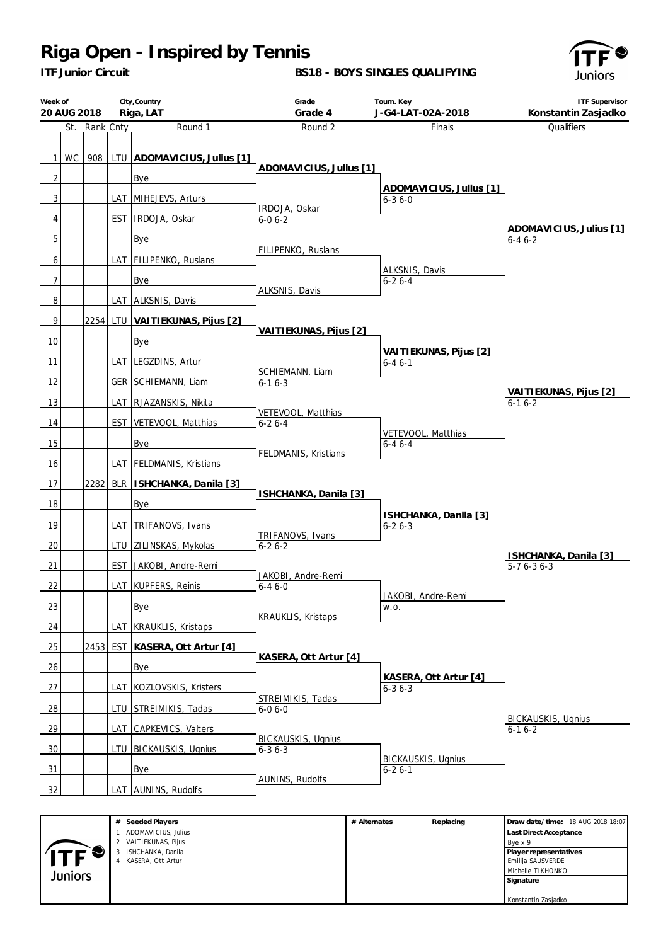*ITF Junior Circuit*

### **BS18 - BOYS SINGLES QUALIFYING**



| Week of                             | 20 AUG 2018 |           |     | City, Country<br>Riga, LAT                                        | Grade<br>Grade 4                          | Tourn. Key<br>J-G4-LAT-02A-2018           | <b>ITF Supervisor</b><br>Konstantin Zasjadko |
|-------------------------------------|-------------|-----------|-----|-------------------------------------------------------------------|-------------------------------------------|-------------------------------------------|----------------------------------------------|
|                                     | St.         | Rank Cnty |     | Round 1                                                           | Round 2                                   | Finals                                    | Qualifiers                                   |
| $\mathbf{1}$<br>$\overline{2}$<br>3 | WC          | 908       |     | LTU ADOMAVICIUS, Julius [1]<br><b>Bye</b><br>LAT MIHEJEVS, Arturs | ADOMAVICIUS, Julius [1]<br>IRDOJA, Oskar  | ADOMAVICIUS, Julius [1]<br>$6 - 36 - 0$   |                                              |
| 4                                   |             |           |     | EST IRDOJA, Oskar                                                 | $6 - 06 - 2$                              |                                           | ADOMAVICIUS, Julius [1]                      |
| 5<br>6                              |             |           |     | Bye<br>LAT   FILIPENKO, Ruslans                                   | FILIPENKO, Ruslans                        | ALKSNIS, Davis                            | $6 - 46 - 2$                                 |
| 7                                   |             |           |     | Bye                                                               | ALKSNIS, Davis                            | $6 - 26 - 4$                              |                                              |
| 8                                   |             |           |     | LAT ALKSNIS, Davis                                                |                                           |                                           |                                              |
| 9<br>10                             |             |           |     | 2254 LTU VAITIEKUNAS, Pijus [2]<br>Bye                            | VAITIEKUNAS, Pijus [2]                    |                                           |                                              |
|                                     |             |           |     | LAT LEGZDINS, Artur                                               |                                           | VAITIEKUNAS, Pijus [2]                    |                                              |
| 11<br>12                            |             |           |     | GER SCHIEMANN, Liam                                               | SCHIEMANN, Liam<br>$6 - 16 - 3$           | $6 - 46 - 1$                              | VAITIEKUNAS, Pijus [2]                       |
| 13                                  |             |           |     | LAT RJAZANSKIS, Nikita                                            |                                           |                                           | $6-16-2$                                     |
| 14                                  |             |           |     | EST VETEVOOL, Matthias                                            | VETEVOOL, Matthias<br>$6 - 26 - 4$        |                                           |                                              |
| 15                                  |             |           |     | Bye                                                               | FELDMANIS, Kristians                      | VETEVOOL, Matthias<br>$6 - 46 - 4$        |                                              |
| 16                                  |             |           |     | LAT   FELDMANIS, Kristians                                        |                                           |                                           |                                              |
| 17<br>18                            |             | 2282      | BLR | ISHCHANKA, Danila [3]<br><b>Bye</b>                               | ISHCHANKA, Danila [3]                     |                                           |                                              |
|                                     |             |           |     |                                                                   |                                           | ISHCHANKA, Danila [3]                     |                                              |
| 19                                  |             |           |     | LAT TRIFANOVS, Ivans                                              | TRIFANOVS, Ivans                          | $6 - 26 - 3$                              |                                              |
| 20<br>21                            |             |           |     | LTU ZILINSKAS, Mykolas<br>EST JAKOBI, Andre-Remi                  | $6 - 26 - 2$                              |                                           | ISHCHANKA, Danila [3]<br>$5-76-36-3$         |
| 22                                  |             |           |     | LAT KUPFERS, Reinis                                               | JAKOBI, Andre-Remi<br>$6 - 46 - 0$        |                                           |                                              |
|                                     |             |           |     |                                                                   |                                           | JAKOBI, Andre-Remi                        |                                              |
| 23                                  |             |           |     | Bye                                                               | <b>KRAUKLIS, Kristaps</b>                 | W.O.                                      |                                              |
| 24                                  |             |           |     | LAT KRAUKLIS, Kristaps                                            |                                           |                                           |                                              |
| 25                                  |             |           |     | 2453 EST KASERA, Ott Artur [4]                                    | KASERA, Ott Artur [4]                     |                                           |                                              |
| 26                                  |             |           |     | Bye                                                               |                                           | KASERA, Ott Artur [4]                     |                                              |
| 27                                  |             |           |     | LAT KOZLOVSKIS, Kristers                                          | STREIMIKIS, Tadas                         | $6 - 36 - 3$                              |                                              |
| $\frac{28}{ }$                      |             |           |     | LTU STREIMIKIS, Tadas                                             | $6 - 06 - 0$                              |                                           |                                              |
| $\frac{29}{ }$                      |             |           |     | LAT CAPKEVICS, Valters                                            |                                           |                                           | <b>BICKAUSKIS, Ugnius</b><br>$6 - 16 - 2$    |
| 30                                  |             |           |     | LTU BICKAUSKIS, Ugnius                                            | <b>BICKAUSKIS, Ugnius</b><br>$6 - 36 - 3$ |                                           |                                              |
| $\frac{31}{2}$                      |             |           |     | Bye                                                               |                                           | <b>BICKAUSKIS, Ugnius</b><br>$6 - 26 - 1$ |                                              |
| 32                                  |             |           |     | LAT AUNINS, Rudolfs                                               | AUNINS, Rudolfs                           |                                           |                                              |
|                                     |             |           |     | # Seeded Players                                                  |                                           | # Alternates<br>Replacing                 | Draw date/time: 18 AUG 2018 18:07            |

|            | # Seeded Players     | # Alternates | Replacing | Draw date/time: 18 AUG 2018 18:07 |
|------------|----------------------|--------------|-----------|-----------------------------------|
|            | ADOMAVICIUS, Julius  |              |           | Last Direct Acceptance            |
|            | 2 VAITIEKUNAS, Pijus |              |           | Bye x 9                           |
| <b>ITF</b> | ISHCHANKA, Danila    |              |           | Player representatives            |
|            | 4 KASERA, Ott Artur  |              |           | Emilija SAUSVERDE                 |
| Juniors    |                      |              |           | Michelle TIKHONKO                 |
|            |                      |              |           | Signature                         |
|            |                      |              |           |                                   |
|            |                      |              |           | Konstantin Zasjadko               |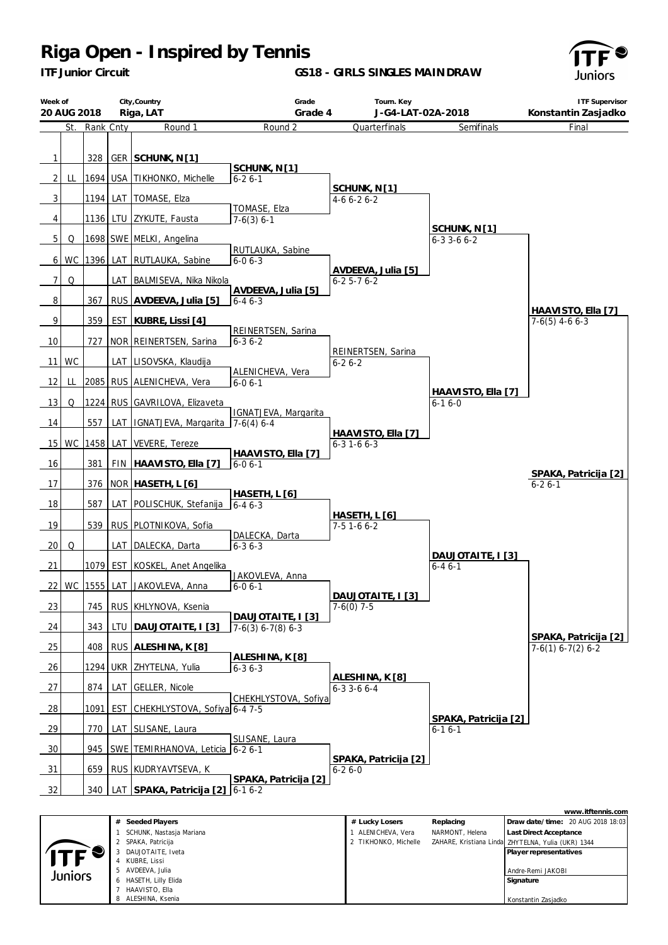*ITF Junior Circuit*

**GS18 - GIRLS SINGLES MAINDRAW**



| Week of<br>20 AUG 2018 |           |               |     | City, Country<br>Riga, LAT      | Grade<br>Grade 4                     | Tourn. Key<br>J-G4-LAT-02A-2018           |                                      | <b>ITF Supervisor</b><br>Konstantin Zasjadko |
|------------------------|-----------|---------------|-----|---------------------------------|--------------------------------------|-------------------------------------------|--------------------------------------|----------------------------------------------|
|                        |           | St. Rank Cnty |     | Round 1                         | Round 2                              | Quarterfinals                             | Semifinals                           | Final                                        |
| $\mathbf{1}$           |           | 328           |     | GER SCHUNK, N [1]               |                                      |                                           |                                      |                                              |
| 2 <sub>1</sub>         | LL        |               |     | 1694 USA TIKHONKO, Michelle     | SCHUNK, N[1]<br>$6 - 26 - 1$         |                                           |                                      |                                              |
| $\mathbf{3}$           |           |               |     | 1194 LAT TOMASE, Elza           |                                      | SCHUNK, N <sub>[1]</sub><br>$4-66-26-2$   |                                      |                                              |
| 4                      |           |               |     | 1136 LTU ZYKUTE, Fausta         | TOMASE, Elza<br>$7-6(3) 6-1$         |                                           |                                      |                                              |
| 5 <sub>1</sub>         | Q         |               |     | 1698 SWE MELKI, Angelina        |                                      |                                           | SCHUNK, N [1]<br>$6 - 33 - 66 - 2$   |                                              |
| 6                      | <b>WC</b> | 1396          |     | LAT RUTLAUKA, Sabine            | RUTLAUKA, Sabine<br>$6 - 06 - 3$     |                                           |                                      |                                              |
| $\overline{7}$         | Q         |               |     | LAT BALMISEVA, Nika Nikola      |                                      | AVDEEVA, Julia [5]<br>$6 - 25 - 76 - 2$   |                                      |                                              |
| 8                      |           | 367           |     | RUS AVDEEVA, Julia [5]          | AVDEEVA, Julia [5]<br>$6 - 46 - 3$   |                                           |                                      |                                              |
| 9                      |           | 359           |     | EST   KUBRE, Lissi [4]          |                                      |                                           |                                      | HAAVISTO, Ella [7]<br>$7-6(5)$ 4-6 6-3       |
| 10                     |           | 727           |     | NOR REINERTSEN, Sarina          | REINERTSEN, Sarina<br>$6 - 36 - 2$   |                                           |                                      |                                              |
| 11 <sup>1</sup>        | <b>WC</b> |               |     | LAT LISOVSKA, Klaudija          |                                      | REINERTSEN, Sarina<br>$6 - 26 - 2$        |                                      |                                              |
| 12                     | LL        |               |     | 2085 RUS ALENICHEVA, Vera       | ALENICHEVA, Vera<br>$6 - 06 - 1$     |                                           |                                      |                                              |
| 13                     | Q         |               |     | 1224 RUS GAVRILOVA, Elizaveta   |                                      |                                           | HAAVISTO, Ella [7]<br>$6 - 16 - 0$   |                                              |
| 14                     |           | 557           | LAT | IGNATJEVA, Margarita 7-6(4) 6-4 | IGNATJEVA, Margarita                 |                                           |                                      |                                              |
| 15                     | WC        | 1458          | LAT | VEVERE, Tereze                  |                                      | HAAVISTO, Ella [7]<br>$6 - 3 1 - 6 6 - 3$ |                                      |                                              |
|                        |           |               |     |                                 | HAAVISTO, Ella [7]                   |                                           |                                      |                                              |
| 16                     |           | 381           |     | FIN HAAVISTO, Ella [7]          | $6 - 06 - 1$                         |                                           |                                      | SPAKA, Patricija [2]                         |
| 17<br>18               |           | 376<br>587    | LAT | NOR HASETH, L [6]               | HASETH, L [6]                        |                                           |                                      | $6 - 26 - 1$                                 |
|                        |           |               |     | POLISCHUK, Stefanija            | $6 - 46 - 3$                         | <b>HASETH, L [6]</b>                      |                                      |                                              |
| 19                     |           | 539           |     | RUS PLOTNIKOVA, Sofia           | DALECKA, Darta                       | $7-5$ 1-6 6-2                             |                                      |                                              |
| 20                     | Q         |               |     | LAT DALECKA, Darta              | $6 - 36 - 3$                         |                                           | DAUJOTAITE, I [3]                    |                                              |
| 21                     |           |               |     | 1079 EST KOSKEL, Anet Angelika  | JAKOVLEVA, Anna                      |                                           | $6 - 46 - 1$                         |                                              |
|                        | 22 WC     |               |     | 1555 LAT JAKOVLEVA, Anna        | $6 - 06 - 1$                         | DAUJOTAITE, I [3]                         |                                      |                                              |
| 23                     |           | 745           |     | RUS KHLYNOVA, Ksenia            | DAUJOTAITE, I [3]                    | $7-6(0)$ 7-5                              |                                      |                                              |
| 24                     |           | 343           |     | LTU DAUJOTAITE, I [3]           | $7-6(3)$ 6-7(8) 6-3                  |                                           |                                      | SPAKA, Patricija [2]                         |
| 25                     |           | 408           |     | RUS ALESHINA, K [8]             |                                      |                                           |                                      | $7-6(1)$ 6-7(2) 6-2                          |
| 26                     |           |               |     | 1294   UKR ZHYTELNA, Yulia      | ALESHINA, K [8]<br>$6 - 36 - 3$      |                                           |                                      |                                              |
| 27                     |           | 874           | LAT | GELLER, Nicole                  |                                      | ALESHINA, K [8]<br>$6 - 3$ 3 - 6 $6 - 4$  |                                      |                                              |
| $\frac{28}{ }$         |           | 1091          | EST | CHEKHLYSTOVA, Sofiya 6-4 7-5    | CHEKHLYSTOVA, Sofiya                 |                                           |                                      |                                              |
| $\frac{29}{2}$         |           | 770           |     | LAT SLISANE, Laura              |                                      |                                           | SPAKA, Patricija [2]<br>$6 - 16 - 1$ |                                              |
| $\frac{30}{2}$         |           | 945           |     | SWE TEMIRHANOVA, Leticia        | SLISANE, Laura<br>$6 - 26 - 1$       |                                           |                                      |                                              |
| - 31                   |           | 659           |     | RUS KUDRYAVTSEVA, K             |                                      | SPAKA, Patricija [2]<br>$6 - 26 - 0$      |                                      |                                              |
| 32                     |           | 340           |     | LAT SPAKA, Patricija [2]        | SPAKA, Patricija [2]<br>$6 - 16 - 2$ |                                           |                                      |                                              |
|                        |           |               |     |                                 |                                      |                                           |                                      | www.itftennis.com                            |

|         | # Seeded Players         | # Lucky Losers       | Replacing       | Draw date/time: 20 AUG 2018 18:03                  |
|---------|--------------------------|----------------------|-----------------|----------------------------------------------------|
|         | SCHUNK, Nastasja Mariana | ALENICHEVA, Vera     | NARMONT, Helena | Last Direct Acceptance                             |
|         | 2 SPAKA, Patricija       | 2 TIKHONKO, Michelle |                 | ZAHARE, Kristiana Linda ZHYTELNA, Yulia (UKR) 1344 |
|         | DAUJOTAITE, Iveta        |                      |                 | Player representatives                             |
| T       | 4 KUBRE, Lissi           |                      |                 |                                                    |
| Juniors | 5 AVDEEVA, Julia         |                      |                 | Andre-Remi JAKOBI                                  |
|         | 6 HASETH, Lilly Elida    |                      |                 | Signature                                          |
|         | HAAVISTO, Ella           |                      |                 |                                                    |
|         | 8 ALESHINA, Ksenia       |                      |                 | Konstantin Zasiadko                                |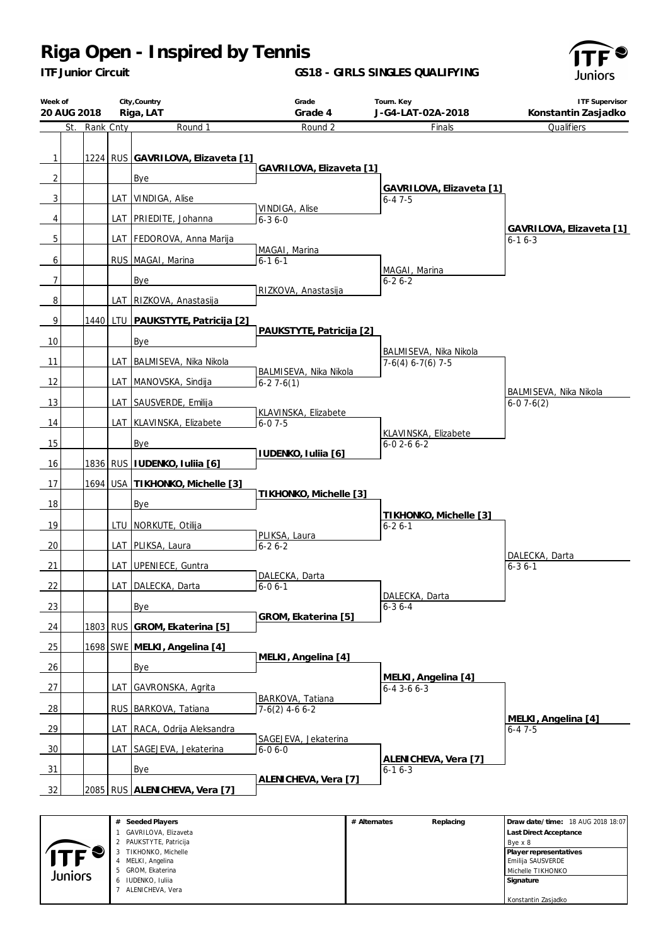*ITF Junior Circuit*

### **GS18 - GIRLS SINGLES QUALIFYING**



| Week of<br>20 AUG 2018         |           |     | City, Country<br>Riga, LAT               | Grade<br>Grade 4                      | Tourn. Key<br>J-G4-LAT-02A-2018               | <b>ITF Supervisor</b><br>Konstantin Zasjadko |
|--------------------------------|-----------|-----|------------------------------------------|---------------------------------------|-----------------------------------------------|----------------------------------------------|
| St.                            | Rank Cnty |     | Round 1                                  | Round 2                               | Finals                                        | Qualifiers                                   |
| $\mathbf{1}$<br>$\overline{2}$ |           |     | 1224 RUS GAVRILOVA, Elizaveta [1]<br>Bye | GAVRILOVA, Elizaveta [1]              |                                               |                                              |
| 3                              |           | LAT | VINDIGA, Alise                           |                                       | GAVRILOVA, Elizaveta [1]<br>$6 - 47 - 5$      |                                              |
| 4                              |           | LAT | PRIEDITE, Johanna                        | VINDIGA, Alise<br>$6 - 36 - 0$        |                                               |                                              |
| 5                              |           |     | LAT FEDOROVA, Anna Marija                |                                       |                                               | GAVRILOVA, Elizaveta [1]<br>$6 - 16 - 3$     |
| 6                              |           |     | RUS   MAGAI, Marina                      | MAGAI, Marina<br>$6 - 16 - 1$         | MAGAI, Marina                                 |                                              |
| 7                              |           |     | Bye                                      |                                       | $6 - 26 - 2$                                  |                                              |
| $\sqrt{8}$                     |           |     | LAT RIZKOVA, Anastasija                  | RIZKOVA, Anastasija                   |                                               |                                              |
| $\overline{9}$                 | 1440      |     | LTU PAUKSTYTE, Patricija [2]             |                                       |                                               |                                              |
| 10                             |           |     | Bye                                      | PAUKSTYTE, Patricija [2]              |                                               |                                              |
| 11                             |           |     | LAT BALMISEVA, Nika Nikola               |                                       | BALMISEVA, Nika Nikola<br>$7-6(4)$ 6-7(6) 7-5 |                                              |
| 12                             |           |     | LAT MANOVSKA, Sindija                    | BALMISEVA, Nika Nikola<br>$6-27-6(1)$ |                                               |                                              |
| 13                             |           |     | LAT SAUSVERDE, Emilija                   |                                       |                                               | BALMISEVA, Nika Nikola<br>$6-07-6(2)$        |
| 14                             |           |     | LAT KLAVINSKA, Elizabete                 | KLAVINSKA, Elizabete<br>$6 - 07 - 5$  |                                               |                                              |
| 15                             |           |     | Bye                                      |                                       | KLAVINSKA, Elizabete<br>$6 - 02 - 66 - 2$     |                                              |
| 16                             |           |     | 1836 RUS   IUDENKO, Iuliia [6]           | IUDENKO, Iuliia [6]                   |                                               |                                              |
| 17                             |           |     | 1694 USA TIKHONKO, Michelle [3]          |                                       |                                               |                                              |
| 18                             |           |     | Bye                                      | TIKHONKO, Michelle [3]                |                                               |                                              |
| 19                             |           |     | LTU   NORKUTE, Otilija                   |                                       | TIKHONKO, Michelle [3]<br>$6 - 26 - 1$        |                                              |
| 20                             |           |     | LAT PLIKSA, Laura                        | PLIKSA, Laura<br>$6 - 26 - 2$         |                                               |                                              |
| 21                             |           | LAT | UPENIECE, Guntra                         |                                       |                                               | DALECKA, Darta<br>$6 - 36 - 1$               |
| 22                             |           |     | LAT DALECKA, Darta                       | DALECKA, Darta<br>$6 - 06 - 1$        |                                               |                                              |
| 23                             |           |     | Bye                                      |                                       | DALECKA, Darta<br>$6 - 36 - 4$                |                                              |
| 24                             |           |     | 1803 RUS GROM, Ekaterina [5]             | GROM, Ekaterina [5]                   |                                               |                                              |
| 25                             |           |     | 1698 SWE MELKI, Angelina [4]             |                                       |                                               |                                              |
| 26                             |           |     | Bye                                      | MELKI, Angelina [4]                   |                                               |                                              |
| 27                             |           | LAT | GAVRONSKA, Agrita                        |                                       | MELKI, Angelina [4]<br>$6 - 4$ 3 - 6 $6 - 3$  |                                              |
| $\frac{28}{ }$                 |           |     | RUS BARKOVA, Tatiana                     | BARKOVA, Tatiana<br>$7-6(2)$ 4-6 6-2  |                                               |                                              |
| 29                             |           |     | LAT RACA, Odrija Aleksandra              |                                       |                                               | MELKI, Angelina [4]<br>$6 - 47 - 5$          |
| 30                             |           |     | LAT SAGEJEVA, Jekaterina                 | SAGEJEVA, Jekaterina<br>$6 - 06 - 0$  |                                               |                                              |
| 31                             |           |     | <b>Bye</b>                               |                                       | ALENICHEVA, Vera [7]<br>$6 - 16 - 3$          |                                              |
| 32                             |           |     | 2085 RUS ALENICHEVA, Vera [7]            | ALENICHEVA, Vera [7]                  |                                               |                                              |
|                                |           |     |                                          |                                       |                                               |                                              |

|         | Seeded Players<br>#   | # Alternates | Replacing | Draw date/time: 18 AUG 2018 18:07 |
|---------|-----------------------|--------------|-----------|-----------------------------------|
|         | GAVRILOVA, Elizaveta  |              |           | Last Direct Acceptance            |
|         | PAUKSTYTE, Patricija  |              |           | Bye x 8                           |
|         | TIKHONKO, Michelle    |              |           | Player representatives            |
|         | MELKI, Angelina<br>4  |              |           | Emilija SAUSVERDE                 |
| Juniors | GROM, Ekaterina<br>5. |              |           | Michelle TIKHONKO                 |
|         | IUDENKO, Iuliia<br>6  |              |           | Signature                         |
|         | ALENICHEVA, Vera      |              |           |                                   |
|         |                       |              |           | Konstantin Zasjadko               |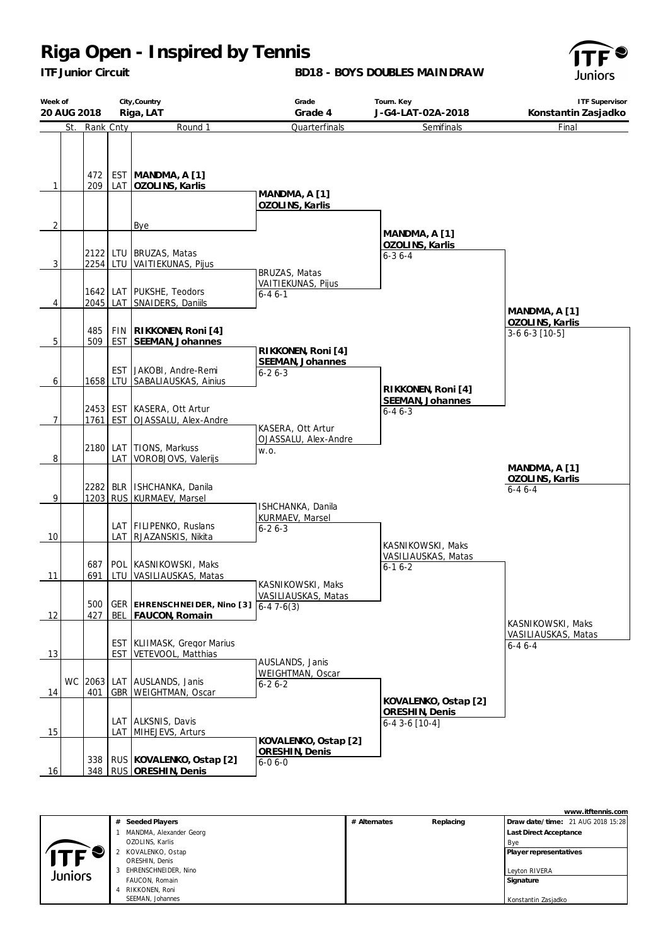*ITF Junior Circuit*

#### **BD18 - BOYS DOUBLES MAINDRAW**



| Week of        | 20 AUG 2018 |            |       | City, Country<br>Riga, LAT                                             | Grade<br>Grade 4                                       | Tourn. Key<br>J-G4-LAT-02A-2018                  | <b>ITF Supervisor</b><br>Konstantin Zasjadko |
|----------------|-------------|------------|-------|------------------------------------------------------------------------|--------------------------------------------------------|--------------------------------------------------|----------------------------------------------|
|                | St.         | Rank Cnty  |       | Round 1                                                                | Quarterfinals                                          | Semifinals                                       | Final                                        |
| $\mathbf{1}$   |             | 472<br>209 |       | EST MANDMA, A [1]<br>LAT   OZOLINS, Karlis                             | MANDMA, A [1]<br>OZOLINS, Karlis                       |                                                  |                                              |
| $\overline{2}$ |             |            |       | Bye                                                                    |                                                        |                                                  |                                              |
| $\overline{3}$ |             |            |       | 2122 LTU BRUZAS, Matas<br>2254 LTU VAITIEKUNAS, Pijus                  | BRUZAS, Matas                                          | MANDMA, A [1]<br>OZOLINS, Karlis<br>$6 - 36 - 4$ |                                              |
| 4              |             | 2045       |       | 1642 LAT PUKSHE, Teodors<br>LAT SNAIDERS, Daniils                      | VAITIEKUNAS, Pijus<br>$6 - 46 - 1$                     |                                                  | MANDMA, A [1]                                |
| 5              |             | 485<br>509 |       | FIN   RIKKONEN, Roni [4]<br>EST SEEMAN, Johannes                       |                                                        |                                                  | OZOLINS, Karlis<br>$3-66-3$ [10-5]           |
| 6              |             | 1658       |       | EST JAKOBI, Andre-Remi<br>LTU SABALIAUSKAS, Ainius                     | RIKKONEN, Roni [4]<br>SEEMAN, Johannes<br>$6 - 26 - 3$ | RIKKONEN, Roni [4]                               |                                              |
| 7              |             | 1761       |       | 2453 EST KASERA, Ott Artur<br>EST OJASSALU, Alex-Andre                 | KASERA, Ott Artur                                      | SEEMAN, Johannes<br>$6 - 46 - 3$                 |                                              |
| 8              |             | 2180       | LAT I | LAT TIONS, Markuss<br>VOROBJOVS, Valerijs                              | OJASSALU, Alex-Andre<br>W.O.                           |                                                  | MANDMA, A [1]                                |
| 9              |             |            |       | 2282 BLR   ISHCHANKA, Danila<br>1203 RUS KURMAEV, Marsel               | ISHCHANKA, Danila                                      |                                                  | OZOLINS, Karlis<br>$6 - 46 - 4$              |
| 10             |             |            |       | LAT   FILIPENKO, Ruslans<br>LAT RJAZANSKIS, Nikita                     | KURMAEV, Marsel<br>$6 - 26 - 3$                        | KASNIKOWSKI, Maks                                |                                              |
| 11             |             | 687<br>691 |       | POL KASNIKOWSKI, Maks<br>LTU VASILIAUSKAS, Matas                       | KASNIKOWSKI, Maks                                      | VASILIAUSKAS, Matas<br>$6-16-2$                  |                                              |
| 12             |             | 427        |       | 500   GER   EHRENSCHNEI DER, Nino [3] 6-4 7-6(3)<br>BEL FAUCON, Romain | VASILIAUSKAS, Matas                                    |                                                  | KASNIKOWSKI, Maks                            |
| 13             |             |            |       | <b>EST   KLIIMASK, Gregor Marius</b><br>EST VETEVOOL, Matthias         |                                                        |                                                  | VASILIAUSKAS, Matas<br>$6 - 46 - 4$          |
| 14             |             | 401        |       | WC 2063 LAT AUSLANDS, Janis<br>GBR   WEIGHTMAN, Oscar                  | AUSLANDS, Janis<br>WEIGHTMAN, Oscar<br>$6 - 26 - 2$    | KOVALENKO, Ostap [2]                             |                                              |
| 15             |             |            |       | LAT ALKSNIS, Davis<br>LAT MIHEJEVS, Arturs                             | KOVALENKO, Ostap [2]                                   | ORESHIN, Denis<br>$6-4$ 3-6 [10-4]               |                                              |
| <u>16</u>      |             |            |       | 338 RUS KOVALENKO, Ostap [2]<br>348 RUS ORESHIN, Denis                 | ORESHIN, Denis<br>$6 - 06 - 0$                         |                                                  |                                              |

|                    |   |                         |              |           | www.itftennis.com                 |
|--------------------|---|-------------------------|--------------|-----------|-----------------------------------|
|                    |   | # Seeded Players        | # Alternates | Replacing | Draw date/time: 21 AUG 2018 15:28 |
|                    |   | MANDMA, Alexander Georg |              |           | Last Direct Acceptance            |
|                    |   | OZOLINS, Karlis         |              |           | Bye                               |
| ITF $\blacksquare$ |   | KOVALENKO, Ostap        |              |           | Player representatives            |
|                    |   | ORESHIN, Denis          |              |           |                                   |
| Juniors            | 3 | EHRENSCHNEIDER, Nino    |              |           | Leyton RIVERA                     |
|                    |   | FAUCON, Romain          |              |           | Signature                         |
|                    | 4 | RIKKONEN, Roni          |              |           |                                   |
|                    |   | SEEMAN, Johannes        |              |           | Konstantin Zasjadko               |